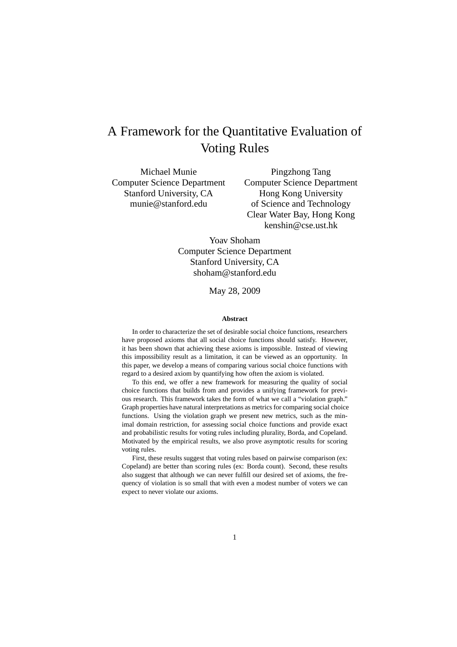# A Framework for the Quantitative Evaluation of Voting Rules

Michael Munie Computer Science Department Stanford University, CA munie@stanford.edu

Pingzhong Tang Computer Science Department Hong Kong University of Science and Technology Clear Water Bay, Hong Kong kenshin@cse.ust.hk

Yoav Shoham Computer Science Department Stanford University, CA shoham@stanford.edu

May 28, 2009

#### **Abstract**

In order to characterize the set of desirable social choice functions, researchers have proposed axioms that all social choice functions should satisfy. However, it has been shown that achieving these axioms is impossible. Instead of viewing this impossibility result as a limitation, it can be viewed as an opportunity. In this paper, we develop a means of comparing various social choice functions with regard to a desired axiom by quantifying how often the axiom is violated.

To this end, we offer a new framework for measuring the quality of social choice functions that builds from and provides a unifying framework for previous research. This framework takes the form of what we call a "violation graph." Graph properties have natural interpretations as metrics for comparing social choice functions. Using the violation graph we present new metrics, such as the minimal domain restriction, for assessing social choice functions and provide exact and probabilistic results for voting rules including plurality, Borda, and Copeland. Motivated by the empirical results, we also prove asymptotic results for scoring voting rules.

First, these results suggest that voting rules based on pairwise comparison (ex: Copeland) are better than scoring rules (ex: Borda count). Second, these results also suggest that although we can never fulfill our desired set of axioms, the frequency of violation is so small that with even a modest number of voters we can expect to never violate our axioms.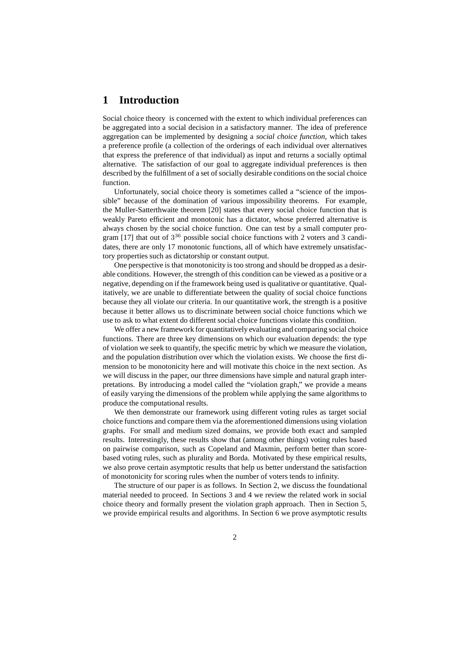# **1 Introduction**

Social choice theory is concerned with the extent to which individual preferences can be aggregated into a social decision in a satisfactory manner. The idea of preference aggregation can be implemented by designing a *social choice function*, which takes a preference profile (a collection of the orderings of each individual over alternatives that express the preference of that individual) as input and returns a socially optimal alternative. The satisfaction of our goal to aggregate individual preferences is then described by the fulfillment of a set of socially desirable conditions on the social choice function.

Unfortunately, social choice theory is sometimes called a "science of the impossible" because of the domination of various impossibility theorems. For example, the Muller-Satterthwaite theorem [20] states that every social choice function that is weakly Pareto efficient and monotonic has a dictator, whose preferred alternative is always chosen by the social choice function. One can test by a small computer program [17] that out of  $3^{36}$  possible social choice functions with 2 voters and 3 candidates, there are only 17 monotonic functions, all of which have extremely unsatisfactory properties such as dictatorship or constant output.

One perspective is that monotonicity is too strong and should be dropped as a desirable conditions. However, the strength of this condition can be viewed as a positive or a negative, depending on if the framework being used is qualitative or quantitative. Qualitatively, we are unable to differentiate between the quality of social choice functions because they all violate our criteria. In our quantitative work, the strength is a positive because it better allows us to discriminate between social choice functions which we use to ask to what extent do different social choice functions violate this condition.

We offer a new framework for quantitatively evaluating and comparing social choice functions. There are three key dimensions on which our evaluation depends: the type of violation we seek to quantify, the specific metric by which we measure the violation, and the population distribution over which the violation exists. We choose the first dimension to be monotonicity here and will motivate this choice in the next section. As we will discuss in the paper, our three dimensions have simple and natural graph interpretations. By introducing a model called the "violation graph," we provide a means of easily varying the dimensions of the problem while applying the same algorithms to produce the computational results.

We then demonstrate our framework using different voting rules as target social choice functions and compare them via the aforementioned dimensions using violation graphs. For small and medium sized domains, we provide both exact and sampled results. Interestingly, these results show that (among other things) voting rules based on pairwise comparison, such as Copeland and Maxmin, perform better than scorebased voting rules, such as plurality and Borda. Motivated by these empirical results, we also prove certain asymptotic results that help us better understand the satisfaction of monotonicity for scoring rules when the number of voters tends to infinity.

The structure of our paper is as follows. In Section 2, we discuss the foundational material needed to proceed. In Sections 3 and 4 we review the related work in social choice theory and formally present the violation graph approach. Then in Section 5, we provide empirical results and algorithms. In Section 6 we prove asymptotic results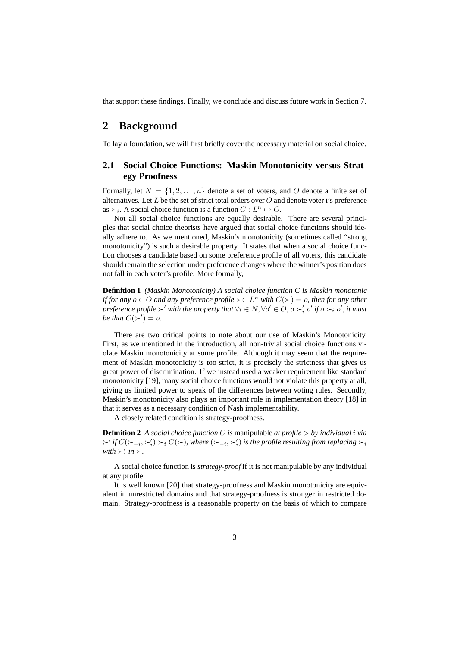that support these findings. Finally, we conclude and discuss future work in Section 7.

# **2 Background**

To lay a foundation, we will first briefly cover the necessary material on social choice.

## **2.1 Social Choice Functions: Maskin Monotonicity versus Strategy Proofness**

Formally, let  $N = \{1, 2, ..., n\}$  denote a set of voters, and O denote a finite set of alternatives. Let  $L$  be the set of strict total orders over  $O$  and denote voter i's preference as  $\succ_i$ . A social choice function is a function  $C: L^n \mapsto O$ .

Not all social choice functions are equally desirable. There are several principles that social choice theorists have argued that social choice functions should ideally adhere to. As we mentioned, Maskin's monotonicity (sometimes called "strong monotonicity") is such a desirable property. It states that when a social choice function chooses a candidate based on some preference profile of all voters, this candidate should remain the selection under preference changes where the winner's position does not fall in each voter's profile. More formally,

**Definition 1** *(Maskin Monotonicity) A social choice function C is Maskin monotonic if for any*  $o \in O$  *and any preference profile*  $\succ \in L^n$  *with*  $C(\succ) = o$ *, then for any other preference profile*  $\succ'$  *with the property that*  $\forall i \in N, \forall o' \in O$ ,  $o \succ'_{i} o'$  *if*  $o \succ_{i} o'$ *, it must be that*  $C(\succ') = 0$ .

There are two critical points to note about our use of Maskin's Monotonicity. First, as we mentioned in the introduction, all non-trivial social choice functions violate Maskin monotonicity at some profile. Although it may seem that the requirement of Maskin monotonicity is too strict, it is precisely the strictness that gives us great power of discrimination. If we instead used a weaker requirement like standard monotonicity [19], many social choice functions would not violate this property at all, giving us limited power to speak of the differences between voting rules. Secondly, Maskin's monotonicity also plays an important role in implementation theory [18] in that it serves as a necessary condition of Nash implementability.

A closely related condition is strategy-proofness.

**Definition 2** *A social choice function C is* manipulable *at profile*  $>$  *by individual i via*  $\succ'$  *if*  $C(\succ_{-i}, \succ'_i) \succ_i C(\succ)$ , where  $(\succ_{-i}, \succ'_i)$  is the profile resulting from replacing  $\succ_i$ *with*  $\succ_i'$  *in*  $\succ$ *.* 

A social choice function is *strategy-proof* if it is not manipulable by any individual at any profile.

It is well known [20] that strategy-proofness and Maskin monotonicity are equivalent in unrestricted domains and that strategy-proofness is stronger in restricted domain. Strategy-proofness is a reasonable property on the basis of which to compare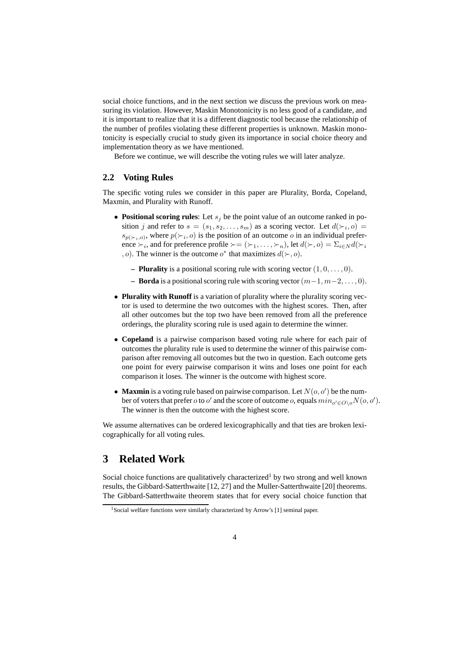social choice functions, and in the next section we discuss the previous work on measuring its violation. However, Maskin Monotonicity is no less good of a candidate, and it is important to realize that it is a different diagnostic tool because the relationship of the number of profiles violating these different properties is unknown. Maskin monotonicity is especially crucial to study given its importance in social choice theory and implementation theory as we have mentioned.

Before we continue, we will describe the voting rules we will later analyze.

#### **2.2 Voting Rules**

The specific voting rules we consider in this paper are Plurality, Borda, Copeland, Maxmin, and Plurality with Runoff.

- **Positional scoring rules**: Let  $s_i$  be the point value of an outcome ranked in position j and refer to  $s = (s_1, s_2, \dots, s_m)$  as a scoring vector. Let  $d(\succ_i, o) =$  $s_{p(\succ_i, o)}$ , where  $p(\succ_i, o)$  is the position of an outcome *o* in an individual preference  $\succ_i$ , and for preference profile  $\succ = (\succ_1, \ldots, \succ_n)$ , let  $d(\succ, o) = \Sigma_{i \in N} d(\succ_i)$ , o). The winner is the outcome  $o^*$  that maximizes  $d(\succ, o)$ .
	- **Plurality** is a positional scoring rule with scoring vector  $(1, 0, \ldots, 0)$ .
	- **Borda** is a positional scoring rule with scoring vector  $(m-1, m-2, \ldots, 0)$ .
- **Plurality with Runoff** is a variation of plurality where the plurality scoring vector is used to determine the two outcomes with the highest scores. Then, after all other outcomes but the top two have been removed from all the preference orderings, the plurality scoring rule is used again to determine the winner.
- **Copeland** is a pairwise comparison based voting rule where for each pair of outcomes the plurality rule is used to determine the winner of this pairwise comparison after removing all outcomes but the two in question. Each outcome gets one point for every pairwise comparison it wins and loses one point for each comparison it loses. The winner is the outcome with highest score.
- **Maxmin** is a voting rule based on pairwise comparison. Let  $N(o, o')$  be the number of voters that prefer  $o$  to  $o'$  and the score of outcome  $o$ , equals  $min_{o'\in O\setminus o}N(o, o').$ The winner is then the outcome with the highest score.

We assume alternatives can be ordered lexicographically and that ties are broken lexicographically for all voting rules.

# **3 Related Work**

Social choice functions are qualitatively characterized<sup>1</sup> by two strong and well known results, the Gibbard-Satterthwaite [12, 27] and the Muller-Satterthwaite [20] theorems. The Gibbard-Satterthwaite theorem states that for every social choice function that

<sup>&</sup>lt;sup>1</sup>Social welfare functions were similarly characterized by Arrow's [1] seminal paper.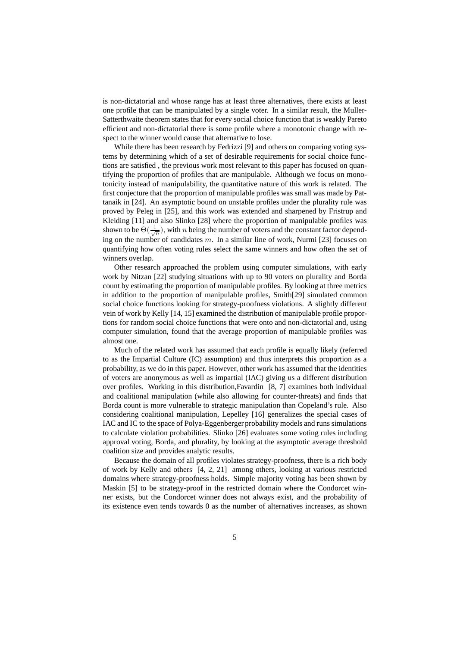is non-dictatorial and whose range has at least three alternatives, there exists at least one profile that can be manipulated by a single voter. In a similar result, the Muller-Satterthwaite theorem states that for every social choice function that is weakly Pareto efficient and non-dictatorial there is some profile where a monotonic change with respect to the winner would cause that alternative to lose.

While there has been research by Fedrizzi [9] and others on comparing voting systems by determining which of a set of desirable requirements for social choice functions are satisfied , the previous work most relevant to this paper has focused on quantifying the proportion of profiles that are manipulable. Although we focus on monotonicity instead of manipulability, the quantitative nature of this work is related. The first conjecture that the proportion of manipulable profiles was small was made by Pattanaik in [24]. An asymptotic bound on unstable profiles under the plurality rule was proved by Peleg in [25], and this work was extended and sharpened by Fristrup and Kleiding [11] and also Slinko [28] where the proportion of manipulable profiles was shown to be  $\Theta(\frac{1}{\sqrt{n}})$ , with *n* being the number of voters and the constant factor depending on the number of candidates  $m$ . In a similar line of work, Nurmi [23] focuses on quantifying how often voting rules select the same winners and how often the set of winners overlap.

Other research approached the problem using computer simulations, with early work by Nitzan [22] studying situations with up to 90 voters on plurality and Borda count by estimating the proportion of manipulable profiles. By looking at three metrics in addition to the proportion of manipulable profiles, Smith[29] simulated common social choice functions looking for strategy-proofness violations. A slightly different vein of work by Kelly [14, 15] examined the distribution of manipulable profile proportions for random social choice functions that were onto and non-dictatorial and, using computer simulation, found that the average proportion of manipulable profiles was almost one.

Much of the related work has assumed that each profile is equally likely (referred to as the Impartial Culture (IC) assumption) and thus interprets this proportion as a probability, as we do in this paper. However, other work has assumed that the identities of voters are anonymous as well as impartial (IAC) giving us a different distribution over profiles. Working in this distribution,Favardin [8, 7] examines both individual and coalitional manipulation (while also allowing for counter-threats) and finds that Borda count is more vulnerable to strategic manipulation than Copeland's rule. Also considering coalitional manipulation, Lepelley [16] generalizes the special cases of IAC and IC to the space of Polya-Eggenberger probability models and runs simulations to calculate violation probabilities. Slinko [26] evaluates some voting rules including approval voting, Borda, and plurality, by looking at the asymptotic average threshold coalition size and provides analytic results.

Because the domain of all profiles violates strategy-proofness, there is a rich body of work by Kelly and others [4, 2, 21] among others, looking at various restricted domains where strategy-proofness holds. Simple majority voting has been shown by Maskin [5] to be strategy-proof in the restricted domain where the Condorcet winner exists, but the Condorcet winner does not always exist, and the probability of its existence even tends towards 0 as the number of alternatives increases, as shown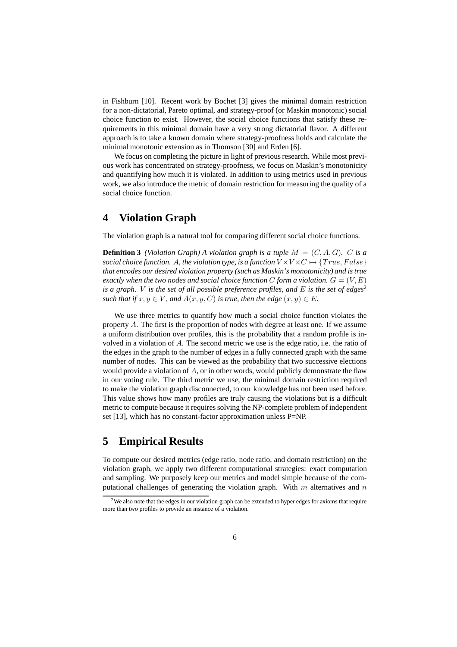in Fishburn [10]. Recent work by Bochet [3] gives the minimal domain restriction for a non-dictatorial, Pareto optimal, and strategy-proof (or Maskin monotonic) social choice function to exist. However, the social choice functions that satisfy these requirements in this minimal domain have a very strong dictatorial flavor. A different approach is to take a known domain where strategy-proofness holds and calculate the minimal monotonic extension as in Thomson [30] and Erden [6].

We focus on completing the picture in light of previous research. While most previous work has concentrated on strategy-proofness, we focus on Maskin's monotonicity and quantifying how much it is violated. In addition to using metrics used in previous work, we also introduce the metric of domain restriction for measuring the quality of a social choice function.

# **4 Violation Graph**

The violation graph is a natural tool for comparing different social choice functions.

**Definition 3** *(Violation Graph)* A *violation graph is a tuple*  $M = (C, A, G)$ *. C is a social choice function.* A, the violation type, is a function  $V \times V \times C \mapsto \{True, False\}$ *that encodes our desired violation property (such as Maskin's monotonicity) and is true exactly when the two nodes and social choice function* C *form a violation*.  $G = (V, E)$ *is a graph. V is the set of all possible preference profiles, and*  $E$  *is the set of edges*<sup>2</sup> *such that if*  $x, y \in V$ *, and*  $A(x, y, C)$  *is true, then the edge*  $(x, y) \in E$ *.* 

We use three metrics to quantify how much a social choice function violates the property  $A$ . The first is the proportion of nodes with degree at least one. If we assume a uniform distribution over profiles, this is the probability that a random profile is involved in a violation of A. The second metric we use is the edge ratio, i.e. the ratio of the edges in the graph to the number of edges in a fully connected graph with the same number of nodes. This can be viewed as the probability that two successive elections would provide a violation of A, or in other words, would publicly demonstrate the flaw in our voting rule. The third metric we use, the minimal domain restriction required to make the violation graph disconnected, to our knowledge has not been used before. This value shows how many profiles are truly causing the violations but is a difficult metric to compute because it requires solving the NP-complete problem of independent set [13], which has no constant-factor approximation unless P=NP.

# **5 Empirical Results**

To compute our desired metrics (edge ratio, node ratio, and domain restriction) on the violation graph, we apply two different computational strategies: exact computation and sampling. We purposely keep our metrics and model simple because of the computational challenges of generating the violation graph. With  $m$  alternatives and  $n$ 

<sup>&</sup>lt;sup>2</sup>We also note that the edges in our violation graph can be extended to hyper edges for axioms that require more than two profiles to provide an instance of a violation.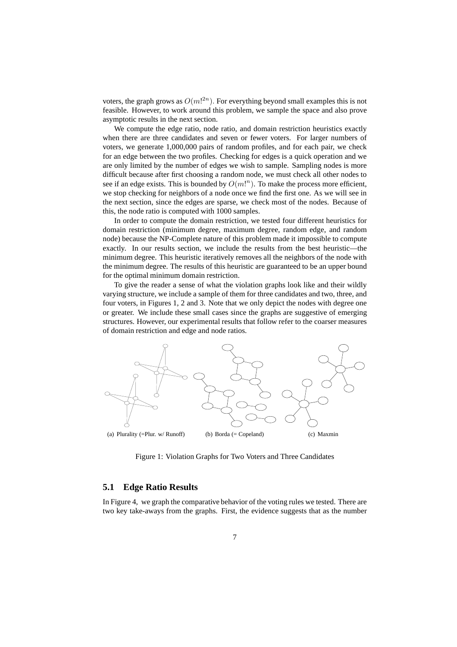voters, the graph grows as  $O(m!^{2n})$ . For everything beyond small examples this is not feasible. However, to work around this problem, we sample the space and also prove asymptotic results in the next section.

We compute the edge ratio, node ratio, and domain restriction heuristics exactly when there are three candidates and seven or fewer voters. For larger numbers of voters, we generate 1,000,000 pairs of random profiles, and for each pair, we check for an edge between the two profiles. Checking for edges is a quick operation and we are only limited by the number of edges we wish to sample. Sampling nodes is more difficult because after first choosing a random node, we must check all other nodes to see if an edge exists. This is bounded by  $O(m!)^n$ . To make the process more efficient, we stop checking for neighbors of a node once we find the first one. As we will see in the next section, since the edges are sparse, we check most of the nodes. Because of this, the node ratio is computed with 1000 samples.

In order to compute the domain restriction, we tested four different heuristics for domain restriction (minimum degree, maximum degree, random edge, and random node) because the NP-Complete nature of this problem made it impossible to compute exactly. In our results section, we include the results from the best heuristic—the minimum degree. This heuristic iteratively removes all the neighbors of the node with the minimum degree. The results of this heuristic are guaranteed to be an upper bound for the optimal minimum domain restriction.

To give the reader a sense of what the violation graphs look like and their wildly varying structure, we include a sample of them for three candidates and two, three, and four voters, in Figures 1, 2 and 3. Note that we only depict the nodes with degree one or greater. We include these small cases since the graphs are suggestive of emerging structures. However, our experimental results that follow refer to the coarser measures of domain restriction and edge and node ratios.



Figure 1: Violation Graphs for Two Voters and Three Candidates

#### **5.1 Edge Ratio Results**

In Figure 4, we graph the comparative behavior of the voting rules we tested. There are two key take-aways from the graphs. First, the evidence suggests that as the number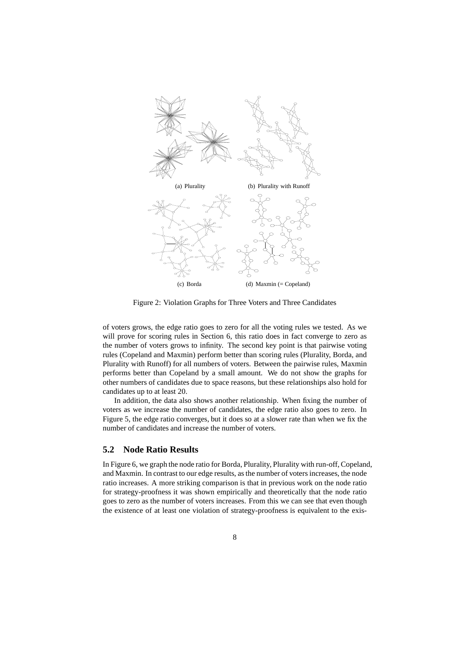

Figure 2: Violation Graphs for Three Voters and Three Candidates

of voters grows, the edge ratio goes to zero for all the voting rules we tested. As we will prove for scoring rules in Section 6, this ratio does in fact converge to zero as the number of voters grows to infinity. The second key point is that pairwise voting rules (Copeland and Maxmin) perform better than scoring rules (Plurality, Borda, and Plurality with Runoff) for all numbers of voters. Between the pairwise rules, Maxmin performs better than Copeland by a small amount. We do not show the graphs for other numbers of candidates due to space reasons, but these relationships also hold for candidates up to at least 20.

In addition, the data also shows another relationship. When fixing the number of voters as we increase the number of candidates, the edge ratio also goes to zero. In Figure 5, the edge ratio converges, but it does so at a slower rate than when we fix the number of candidates and increase the number of voters.

### **5.2 Node Ratio Results**

In Figure 6, we graph the node ratio for Borda, Plurality, Plurality with run-off, Copeland, and Maxmin. In contrast to our edge results, as the number of voters increases, the node ratio increases. A more striking comparison is that in previous work on the node ratio for strategy-proofness it was shown empirically and theoretically that the node ratio goes to zero as the number of voters increases. From this we can see that even though the existence of at least one violation of strategy-proofness is equivalent to the exis-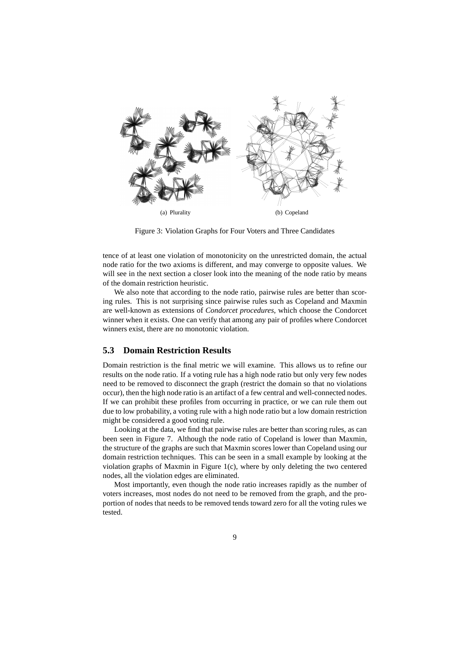

Figure 3: Violation Graphs for Four Voters and Three Candidates

tence of at least one violation of monotonicity on the unrestricted domain, the actual node ratio for the two axioms is different, and may converge to opposite values. We will see in the next section a closer look into the meaning of the node ratio by means of the domain restriction heuristic.

We also note that according to the node ratio, pairwise rules are better than scoring rules. This is not surprising since pairwise rules such as Copeland and Maxmin are well-known as extensions of *Condorcet procedures*, which choose the Condorcet winner when it exists. One can verify that among any pair of profiles where Condorcet winners exist, there are no monotonic violation.

#### **5.3 Domain Restriction Results**

Domain restriction is the final metric we will examine. This allows us to refine our results on the node ratio. If a voting rule has a high node ratio but only very few nodes need to be removed to disconnect the graph (restrict the domain so that no violations occur), then the high node ratio is an artifact of a few central and well-connected nodes. If we can prohibit these profiles from occurring in practice, or we can rule them out due to low probability, a voting rule with a high node ratio but a low domain restriction might be considered a good voting rule.

Looking at the data, we find that pairwise rules are better than scoring rules, as can been seen in Figure 7. Although the node ratio of Copeland is lower than Maxmin, the structure of the graphs are such that Maxmin scores lower than Copeland using our domain restriction techniques. This can be seen in a small example by looking at the violation graphs of Maxmin in Figure 1(c), where by only deleting the two centered nodes, all the violation edges are eliminated.

Most importantly, even though the node ratio increases rapidly as the number of voters increases, most nodes do not need to be removed from the graph, and the proportion of nodes that needs to be removed tends toward zero for all the voting rules we tested.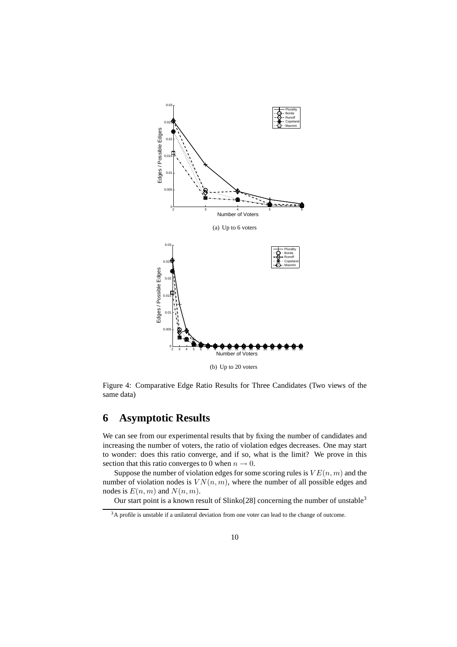

Figure 4: Comparative Edge Ratio Results for Three Candidates (Two views of the same data)

# **6 Asymptotic Results**

We can see from our experimental results that by fixing the number of candidates and increasing the number of voters, the ratio of violation edges decreases. One may start to wonder: does this ratio converge, and if so, what is the limit? We prove in this section that this ratio converges to 0 when  $n \to 0$ .

Suppose the number of violation edges for some scoring rules is  $VE(n, m)$  and the number of violation nodes is  $VN(n, m)$ , where the number of all possible edges and nodes is  $E(n, m)$  and  $N(n, m)$ .

Our start point is a known result of Slinko[28] concerning the number of unstable<sup>3</sup>

<sup>&</sup>lt;sup>3</sup>A profile is unstable if a unilateral deviation from one voter can lead to the change of outcome.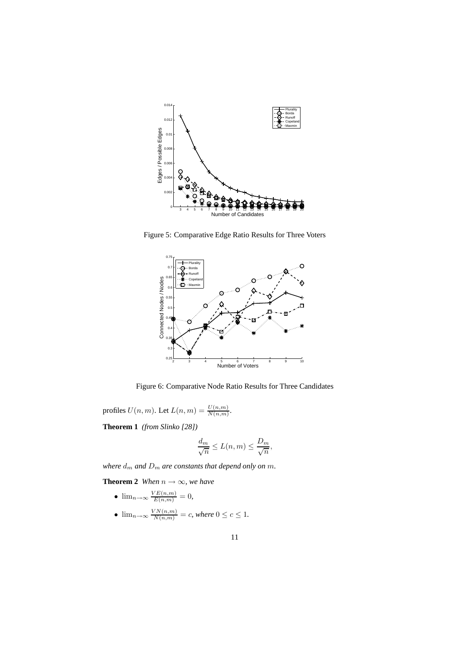

Figure 5: Comparative Edge Ratio Results for Three Voters



Figure 6: Comparative Node Ratio Results for Three Candidates

profiles  $U(n, m)$ . Let  $L(n, m) = \frac{U(n, m)}{N(n, m)}$ .

**Theorem 1** *(from Slinko [28])*

$$
\frac{d_m}{\sqrt{n}} \leq L(n,m) \leq \frac{D_m}{\sqrt{n}},
$$

*where*  $d_m$  *and*  $D_m$  *are constants that depend only on m.* 

**Theorem 2** *When*  $n \rightarrow \infty$ *, we have* 

- $\lim_{n\to\infty} \frac{VE(n,m)}{E(n,m)} = 0,$
- $\lim_{n\to\infty}\frac{VN(n,m)}{N(n,m)}=c$ , where  $0\leq c\leq 1$ .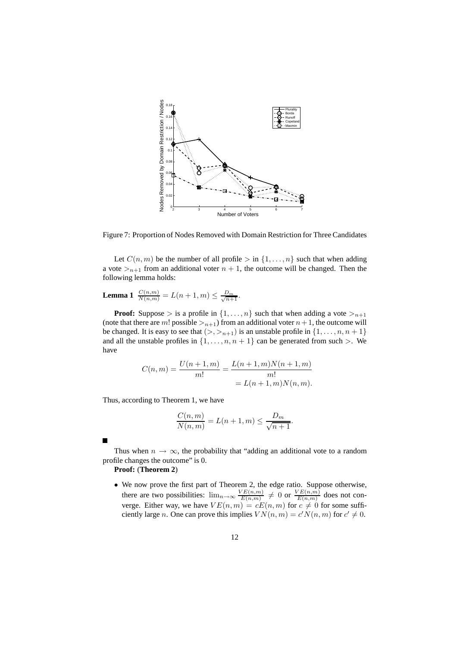

Figure 7: Proportion of Nodes Removed with Domain Restriction for Three Candidates

Let  $C(n, m)$  be the number of all profile  $>$  in  $\{1, \ldots, n\}$  such that when adding a vote  $>_{n+1}$  from an additional voter  $n + 1$ , the outcome will be changed. Then the following lemma holds:

# **Lemma 1**  $\frac{C(n,m)}{N(n,m)} = L(n+1,m) \le \frac{D_m}{\sqrt{n+1}}$ .

**Proof:** Suppose > is a profile in  $\{1, \ldots, n\}$  such that when adding a vote ><sub>n+1</sub> (note that there are m! possible  $>_{n+1}$ ) from an additional voter  $n+1$ , the outcome will be changed. It is easy to see that  $(>, >_{n+1})$  is an unstable profile in  $\{1, \ldots, n, n+1\}$ and all the unstable profiles in  $\{1, \ldots, n, n + 1\}$  can be generated from such  $>$ . We have

$$
C(n,m) = \frac{U(n+1,m)}{m!} = \frac{L(n+1,m)N(n+1,m)}{m!}
$$

$$
= L(n+1,m)N(n,m).
$$

Thus, according to Theorem 1, we have

$$
\frac{C(n,m)}{N(n,m)} = L(n+1,m) \le \frac{D_m}{\sqrt{n+1}}.
$$

Thus when  $n \to \infty$ , the probability that "adding an additional vote to a random profile changes the outcome" is 0.

#### **Proof:** (**Theorem 2**)

• We now prove the first part of Theorem 2, the edge ratio. Suppose otherwise, there are two possibilities:  $\lim_{n\to\infty} \frac{VE(n,m)}{E(n,m)}$  $\frac{\sqrt{E(n,m)}}{E(n,m)} \neq 0$  or  $\frac{VE(n,m)}{E(n,m)}$  $\frac{E(n,m)}{E(n,m)}$  does not converge. Either way, we have  $VE(n, m) = cE(n, m)$  for  $c \neq 0$  for some sufficiently large *n*. One can prove this implies  $VN(n, m) = c'N(n, m)$  for  $c' \neq 0$ .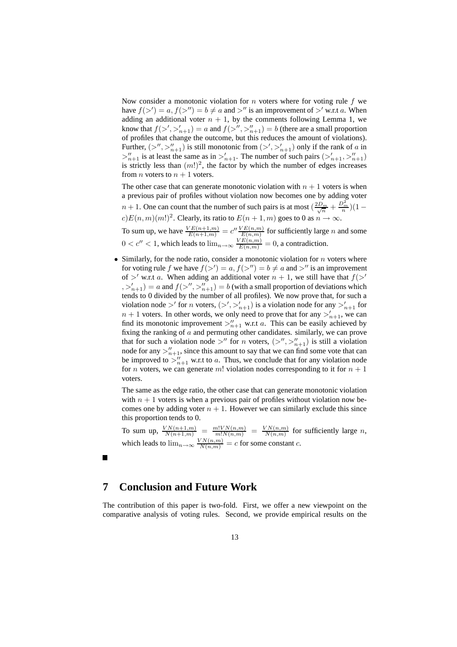Now consider a monotonic violation for  $n$  voters where for voting rule  $f$  we have  $f(\gt') = a, f(\gt'') = b \neq a$  and  $\gt''$  is an improvement of  $\gt'$  w.r.t a. When adding an additional voter  $n + 1$ , by the comments following Lemma 1, we know that  $f(\gt', \gt'_{n+1}) = a$  and  $f(\gt'', \gt''_{n+1}) = b$  (there are a small proportion of profiles that change the outcome, but this reduces the amount of violations). Further,  $(\gt'', \gt''_{n+1})$  is still monotonic from  $(\gt', \gt'_{n+1})$  only if the rank of a in  $\geq_{n+1}^{\prime\prime}$  is at least the same as in  $\geq_{n+1}^{\prime}$ . The number of such pairs  $(\geq_{n+1}^{\prime}, \geq_{n+1}^{\prime\prime})$ is strictly less than  $(m!)^2$ , the factor by which the number of edges increases from *n* voters to  $n + 1$  voters.

The other case that can generate monotonic violation with  $n + 1$  voters is when a previous pair of profiles without violation now becomes one by adding voter  $n + 1$ . One can count that the number of such pairs is at most  $\left(\frac{2D_m}{\sqrt{n}} + \frac{D_m^2}{n}\right)(1$  $c) E(n, m) (m!)^2$ . Clearly, its ratio to  $E(n + 1, m)$  goes to 0 as  $n \to \infty$ .

To sum up, we have  $\frac{VE(n+1,m)}{E(n+1,m)} = c'' \frac{VE(n,m)}{E(n,m)}$  for sufficiently large *n* and some  $0 < c'' < 1$ , which leads to  $\lim_{n \to \infty} \frac{VE(n,m)}{E(n,m)} = 0$ , a contradiction.

• Similarly, for the node ratio, consider a monotonic violation for  $n$  voters where for voting rule f we have  $f(\gt') = a, f(\gt'') = b \neq a$  and  $\gt''$  is an improvement of  $>^{\prime}$  w.r.t a. When adding an additional voter  $n + 1$ , we still have that  $f(>^{\prime})$  $(a, b, b, b') = a$  and  $f(b'', b''_{n+1}) = b$  (with a small proportion of deviations which tends to 0 divided by the number of all profiles). We now prove that, for such a violation node  $>^{\prime}$  for *n* voters,  $(\gt', >^{\prime}_{n+1})$  is a violation node for any  $\gt'_{n+1}$  for  $n + 1$  voters. In other words, we only need to prove that for any  $\gt'_{n+1}$ , we can find its monotonic improvement  $>_{n+1}^{\prime\prime}$  w.r.t a. This can be easily achieved by fixing the ranking of a and permuting other candidates. similarly, we can prove that for such a violation node  $>$ " for n voters,  $(\geq'', \geq''_{n+1})$  is still a violation node for any  $>_{n+1}''$ , since this amount to say that we can find some vote that can be improved to  $>_{n+1}^{\prime\prime}$  w.r.t to a. Thus, we conclude that for any violation node for *n* voters, we can generate *m*! violation nodes corresponding to it for  $n + 1$ voters.

The same as the edge ratio, the other case that can generate monotonic violation with  $n + 1$  voters is when a previous pair of profiles without violation now becomes one by adding voter  $n + 1$ . However we can similarly exclude this since this proportion tends to 0.

To sum up,  $\frac{VN(n+1,m)}{N(n+1,m)} = \frac{m!VN(n,m)}{m!N(n,m)} = \frac{VN(n,m)}{N(n,m)}$  $\frac{N(n,m)}{N(n,m)}$  for sufficiently large *n*, which leads to  $\lim_{n\to\infty} \frac{VN(n,m)}{N(n,m)} = c$  for some constant c.

# **7 Conclusion and Future Work**

The contribution of this paper is two-fold. First, we offer a new viewpoint on the comparative analysis of voting rules. Second, we provide empirical results on the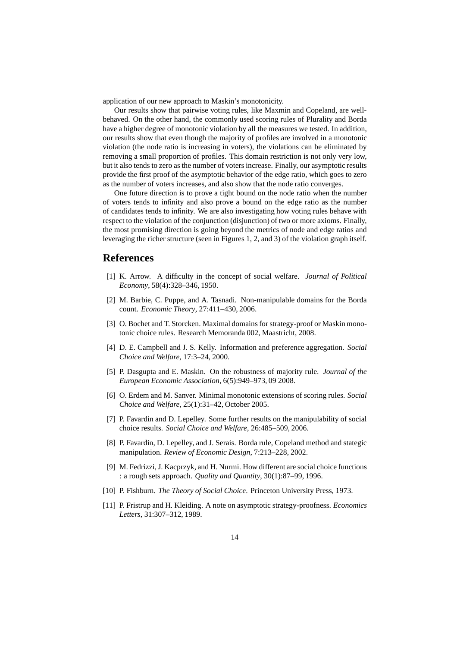application of our new approach to Maskin's monotonicity.

Our results show that pairwise voting rules, like Maxmin and Copeland, are wellbehaved. On the other hand, the commonly used scoring rules of Plurality and Borda have a higher degree of monotonic violation by all the measures we tested. In addition, our results show that even though the majority of profiles are involved in a monotonic violation (the node ratio is increasing in voters), the violations can be eliminated by removing a small proportion of profiles. This domain restriction is not only very low, but it also tends to zero as the number of voters increase. Finally, our asymptotic results provide the first proof of the asymptotic behavior of the edge ratio, which goes to zero as the number of voters increases, and also show that the node ratio converges.

One future direction is to prove a tight bound on the node ratio when the number of voters tends to infinity and also prove a bound on the edge ratio as the number of candidates tends to infinity. We are also investigating how voting rules behave with respect to the violation of the conjunction (disjunction) of two or more axioms. Finally, the most promising direction is going beyond the metrics of node and edge ratios and leveraging the richer structure (seen in Figures 1, 2, and 3) of the violation graph itself.

### **References**

- [1] K. Arrow. A difficulty in the concept of social welfare. *Journal of Political Economy*, 58(4):328–346, 1950.
- [2] M. Barbie, C. Puppe, and A. Tasnadi. Non-manipulable domains for the Borda count. *Economic Theory*, 27:411–430, 2006.
- [3] O. Bochet and T. Storcken. Maximal domains for strategy-proof or Maskin monotonic choice rules. Research Memoranda 002, Maastricht, 2008.
- [4] D. E. Campbell and J. S. Kelly. Information and preference aggregation. *Social Choice and Welfare*, 17:3–24, 2000.
- [5] P. Dasgupta and E. Maskin. On the robustness of majority rule. *Journal of the European Economic Association*, 6(5):949–973, 09 2008.
- [6] O. Erdem and M. Sanver. Minimal monotonic extensions of scoring rules. *Social Choice and Welfare*, 25(1):31–42, October 2005.
- [7] P. Favardin and D. Lepelley. Some further results on the manipulability of social choice results. *Social Choice and Welfare*, 26:485–509, 2006.
- [8] P. Favardin, D. Lepelley, and J. Serais. Borda rule, Copeland method and stategic manipulation. *Review of Economic Design*, 7:213–228, 2002.
- [9] M. Fedrizzi, J. Kacprzyk, and H. Nurmi. How different are social choice functions : a rough sets approach. *Quality and Quantity*, 30(1):87–99, 1996.
- [10] P. Fishburn. *The Theory of Social Choice*. Princeton University Press, 1973.
- [11] P. Fristrup and H. Kleiding. A note on asymptotic strategy-proofness. *Economics Letters*, 31:307–312, 1989.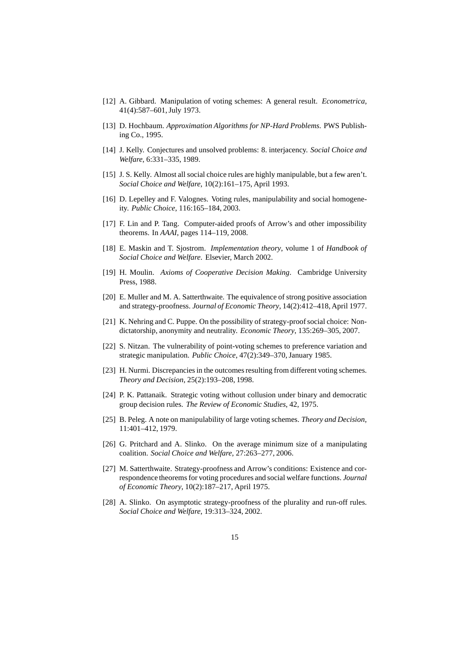- [12] A. Gibbard. Manipulation of voting schemes: A general result. *Econometrica*, 41(4):587–601, July 1973.
- [13] D. Hochbaum. *Approximation Algorithms for NP-Hard Problems*. PWS Publishing Co., 1995.
- [14] J. Kelly. Conjectures and unsolved problems: 8. interjacency. *Social Choice and Welfare*, 6:331–335, 1989.
- [15] J. S. Kelly. Almost all social choice rules are highly manipulable, but a few aren't. *Social Choice and Welfare*, 10(2):161–175, April 1993.
- [16] D. Lepelley and F. Valognes. Voting rules, manipulability and social homogeneity. *Public Choice*, 116:165–184, 2003.
- [17] F. Lin and P. Tang. Computer-aided proofs of Arrow's and other impossibility theorems. In *AAAI*, pages 114–119, 2008.
- [18] E. Maskin and T. Sjostrom. *Implementation theory*, volume 1 of *Handbook of Social Choice and Welfare*. Elsevier, March 2002.
- [19] H. Moulin. *Axioms of Cooperative Decision Making*. Cambridge University Press, 1988.
- [20] E. Muller and M. A. Satterthwaite. The equivalence of strong positive association and strategy-proofness. *Journal of Economic Theory*, 14(2):412–418, April 1977.
- [21] K. Nehring and C. Puppe. On the possibility of strategy-proof social choice: Nondictatorship, anonymity and neutrality. *Economic Theory*, 135:269–305, 2007.
- [22] S. Nitzan. The vulnerability of point-voting schemes to preference variation and strategic manipulation. *Public Choice*, 47(2):349–370, January 1985.
- [23] H. Nurmi. Discrepancies in the outcomes resulting from different voting schemes. *Theory and Decision*, 25(2):193–208, 1998.
- [24] P. K. Pattanaik. Strategic voting without collusion under binary and democratic group decision rules. *The Review of Economic Studies*, 42, 1975.
- [25] B. Peleg. A note on manipulability of large voting schemes. *Theory and Decision*, 11:401–412, 1979.
- [26] G. Pritchard and A. Slinko. On the average minimum size of a manipulating coalition. *Social Choice and Welfare*, 27:263–277, 2006.
- [27] M. Satterthwaite. Strategy-proofness and Arrow's conditions: Existence and correspondence theorems for voting procedures and social welfare functions. *Journal of Economic Theory*, 10(2):187–217, April 1975.
- [28] A. Slinko. On asymptotic strategy-proofness of the plurality and run-off rules. *Social Choice and Welfare*, 19:313–324, 2002.